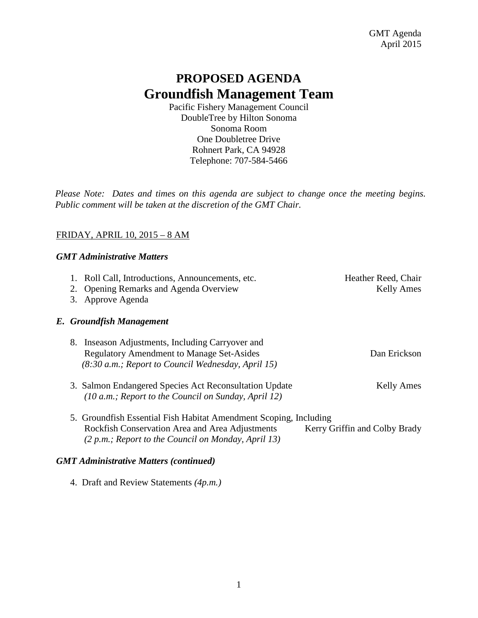# **PROPOSED AGENDA Groundfish Management Team**

Pacific Fishery Management Council DoubleTree by Hilton Sonoma Sonoma Room One Doubletree Drive Rohnert Park, CA 94928 Telephone: 707-584-5466

*Please Note: Dates and times on this agenda are subject to change once the meeting begins. Public comment will be taken at the discretion of the GMT Chair.*

# FRIDAY, APRIL 10, 2015 – 8 AM

# *GMT Administrative Matters*

| 1. Roll Call, Introductions, Announcements, etc.<br>2. Opening Remarks and Agenda Overview                                                                                  | Heather Reed, Chair<br><b>Kelly Ames</b> |
|-----------------------------------------------------------------------------------------------------------------------------------------------------------------------------|------------------------------------------|
| Approve Agenda<br>3.                                                                                                                                                        |                                          |
| E. Groundfish Management                                                                                                                                                    |                                          |
| 8. Inseason Adjustments, Including Carryover and<br><b>Regulatory Amendment to Manage Set-Asides</b><br>(8:30 a.m.; Report to Council Wednesday, April 15)                  | Dan Erickson                             |
| 3. Salmon Endangered Species Act Reconsultation Update<br>$(10 a.m.;$ Report to the Council on Sunday, April 12)                                                            | <b>Kelly Ames</b>                        |
| 5. Groundfish Essential Fish Habitat Amendment Scoping, Including<br>Rockfish Conservation Area and Area Adjustments<br>(2 p.m.; Report to the Council on Monday, April 13) | Kerry Griffin and Colby Brady            |

# *GMT Administrative Matters (continued)*

4. Draft and Review Statements *(4p.m.)*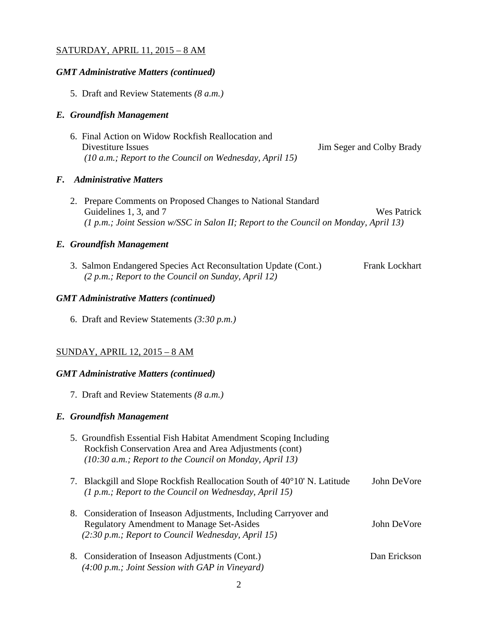## SATURDAY, APRIL 11, 2015 – 8 AM

#### *GMT Administrative Matters (continued)*

5. Draft and Review Statements *(8 a.m.)*

## *E. Groundfish Management*

6. Final Action on Widow Rockfish Reallocation and Divestiture Issues Jim Seger and Colby Brady *(10 a.m.; Report to the Council on Wednesday, April 15)*

## *F. Administrative Matters*

2. Prepare Comments on Proposed Changes to National Standard Guidelines 1, 3, and 7 Wes Patrick *(1 p.m.; Joint Session w/SSC in Salon II; Report to the Council on Monday, April 13)*

## *E. Groundfish Management*

3. Salmon Endangered Species Act Reconsultation Update (Cont.) Frank Lockhart *(2 p.m.; Report to the Council on Sunday, April 12)*

## *GMT Administrative Matters (continued)*

6. Draft and Review Statements *(3:30 p.m.)*

## SUNDAY, APRIL 12, 2015 – 8 AM

#### *GMT Administrative Matters (continued)*

7. Draft and Review Statements *(8 a.m.)*

#### *E. Groundfish Management*

- 5. Groundfish Essential Fish Habitat Amendment Scoping Including Rockfish Conservation Area and Area Adjustments (cont) *(10:30 a.m.; Report to the Council on Monday, April 13)*
- 7. Blackgill and Slope Rockfish Reallocation South of 40°10' N. Latitude John DeVore *(1 p.m.; Report to the Council on Wednesday, April 15)*
- 8. Consideration of Inseason Adjustments, Including Carryover and Regulatory Amendment to Manage Set-Asides John DeVore  *(2:30 p.m.; Report to Council Wednesday, April 15)*
- 8. Consideration of Inseason Adjustments (Cont.) Dan Erickson  *(4:00 p.m.; Joint Session with GAP in Vineyard)*